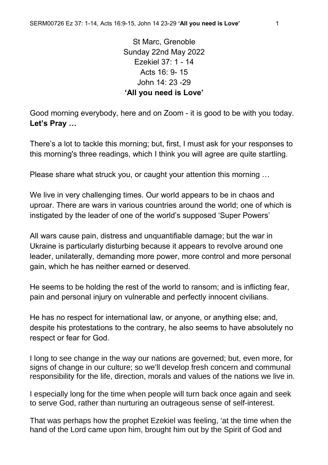St Marc, Grenoble Sunday 22nd May 2022 Ezekiel 37: 1 - 14 Acts 16: 9- 15 John 14: 23 -29 **'All you need is Love'**

Good morning everybody, here and on Zoom - it is good to be with you today. **Let's Pray …**

There's a lot to tackle this morning; but, first, I must ask for your responses to this morning's three readings, which I think you will agree are quite startling.

Please share what struck you, or caught your attention this morning …

We live in very challenging times. Our world appears to be in chaos and uproar. There are wars in various countries around the world; one of which is instigated by the leader of one of the world's supposed 'Super Powers'

All wars cause pain, distress and unquantifiable damage; but the war in Ukraine is particularly disturbing because it appears to revolve around one leader, unilaterally, demanding more power, more control and more personal gain, which he has neither earned or deserved.

He seems to be holding the rest of the world to ransom; and is inflicting fear, pain and personal injury on vulnerable and perfectly innocent civilians.

He has no respect for international law, or anyone, or anything else; and, despite his protestations to the contrary, he also seems to have absolutely no respect or fear for God.

I long to see change in the way our nations are governed; but, even more, for signs of change in our culture; so we'll develop fresh concern and communal responsibility for the life, direction, morals and values of the nations we live in.

I especially long for the time when people will turn back once again and seek to serve God, rather than nurturing an outrageous sense of self-interest.

That was perhaps how the prophet Ezekiel was feeling, 'at the time when the hand of the Lord came upon him, brought him out by the Spirit of God and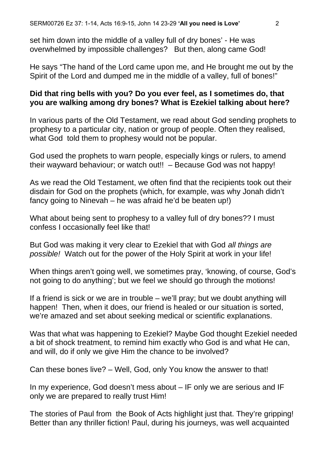set him down into the middle of a valley full of dry bones' - He was overwhelmed by impossible challenges? But then, along came God!

He says "The hand of the Lord came upon me, and He brought me out by the Spirit of the Lord and dumped me in the middle of a valley, full of bones!"

## **Did that ring bells with you? Do you ever feel, as I sometimes do, that you are walking among dry bones? What is Ezekiel talking about here?**

In various parts of the Old Testament, we read about God sending prophets to prophesy to a particular city, nation or group of people. Often they realised, what God told them to prophesy would not be popular.

God used the prophets to warn people, especially kings or rulers, to amend their wayward behaviour; or watch out!! – Because God was not happy!

As we read the Old Testament, we often find that the recipients took out their disdain for God on the prophets (which, for example, was why Jonah didn't fancy going to Ninevah – he was afraid he'd be beaten up!)

What about being sent to prophesy to a valley full of dry bones?? I must confess I occasionally feel like that!

But God was making it very clear to Ezekiel that with God *all things are possible!* Watch out for the power of the Holy Spirit at work in your life!

When things aren't going well, we sometimes pray, 'knowing, of course, God's not going to do anything'; but we feel we should go through the motions!

If a friend is sick or we are in trouble – we'll pray; but we doubt anything will happen! Then, when it does, our friend is healed or our situation is sorted, we're amazed and set about seeking medical or scientific explanations.

Was that what was happening to Ezekiel? Maybe God thought Ezekiel needed a bit of shock treatment, to remind him exactly who God is and what He can, and will, do if only we give Him the chance to be involved?

Can these bones live? – Well, God, only You know the answer to that!

In my experience, God doesn't mess about – IF only we are serious and IF only we are prepared to really trust Him!

The stories of Paul from the Book of Acts highlight just that. They're gripping! Better than any thriller fiction! Paul, during his journeys, was well acquainted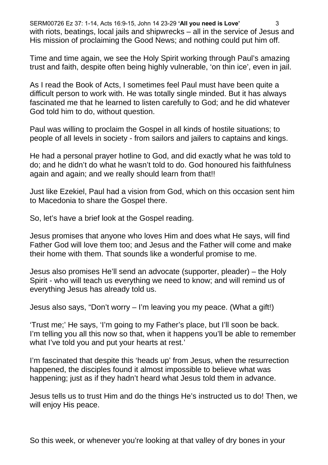SERM00726 Ez 37: 1-14, Acts 16:9-15, John 14 23-29 **'All you need is Love'** 3 with riots, beatings, local jails and shipwrecks – all in the service of Jesus and His mission of proclaiming the Good News; and nothing could put him off.

Time and time again, we see the Holy Spirit working through Paul's amazing trust and faith, despite often being highly vulnerable, 'on thin ice', even in jail.

As I read the Book of Acts, I sometimes feel Paul must have been quite a difficult person to work with. He was totally single minded. But it has always fascinated me that he learned to listen carefully to God; and he did whatever God told him to do, without question.

Paul was willing to proclaim the Gospel in all kinds of hostile situations; to people of all levels in society - from sailors and jailers to captains and kings.

He had a personal prayer hotline to God, and did exactly what he was told to do; and he didn't do what he wasn't told to do. God honoured his faithfulness again and again; and we really should learn from that!!

Just like Ezekiel, Paul had a vision from God, which on this occasion sent him to Macedonia to share the Gospel there.

So, let's have a brief look at the Gospel reading.

Jesus promises that anyone who loves Him and does what He says, will find Father God will love them too; and Jesus and the Father will come and make their home with them. That sounds like a wonderful promise to me.

Jesus also promises He'll send an advocate (supporter, pleader) – the Holy Spirit - who will teach us everything we need to know; and will remind us of everything Jesus has already told us.

Jesus also says, "Don't worry – I'm leaving you my peace. (What a gift!)

'Trust me;' He says, 'I'm going to my Father's place, but I'll soon be back. I'm telling you all this now so that, when it happens you'll be able to remember what I've told you and put your hearts at rest.'

I'm fascinated that despite this 'heads up' from Jesus, when the resurrection happened, the disciples found it almost impossible to believe what was happening; just as if they hadn't heard what Jesus told them in advance.

Jesus tells us to trust Him and do the things He's instructed us to do! Then, we will enjoy His peace.